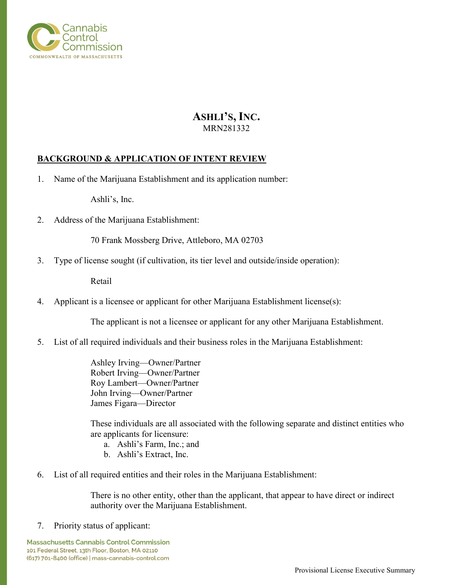

# **ASHLI'S, INC.** MRN281332

### **BACKGROUND & APPLICATION OF INTENT REVIEW**

1. Name of the Marijuana Establishment and its application number:

Ashli's, Inc.

2. Address of the Marijuana Establishment:

70 Frank Mossberg Drive, Attleboro, MA 02703

3. Type of license sought (if cultivation, its tier level and outside/inside operation):

Retail

4. Applicant is a licensee or applicant for other Marijuana Establishment license(s):

The applicant is not a licensee or applicant for any other Marijuana Establishment.

5. List of all required individuals and their business roles in the Marijuana Establishment:

Ashley Irving—Owner/Partner Robert Irving—Owner/Partner Roy Lambert—Owner/Partner John Irving—Owner/Partner James Figara—Director

These individuals are all associated with the following separate and distinct entities who are applicants for licensure:

- a. Ashli's Farm, Inc.; and
- b. Ashli's Extract, Inc.
- 6. List of all required entities and their roles in the Marijuana Establishment:

There is no other entity, other than the applicant, that appear to have direct or indirect authority over the Marijuana Establishment.

7. Priority status of applicant:

**Massachusetts Cannabis Control Commission** 101 Federal Street, 13th Floor, Boston, MA 02110 (617) 701-8400 (office) | mass-cannabis-control.com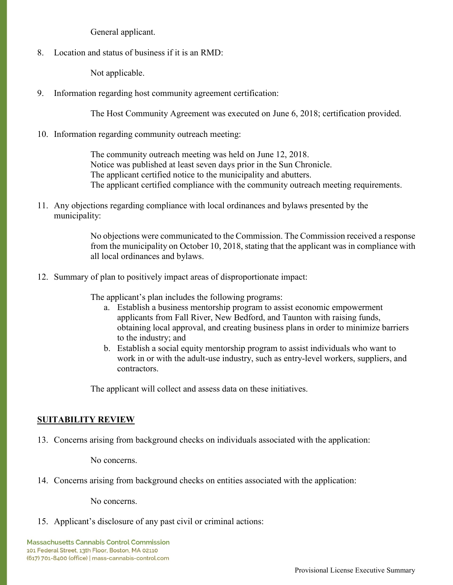General applicant.

8. Location and status of business if it is an RMD:

Not applicable.

9. Information regarding host community agreement certification:

The Host Community Agreement was executed on June 6, 2018; certification provided.

10. Information regarding community outreach meeting:

The community outreach meeting was held on June 12, 2018. Notice was published at least seven days prior in the Sun Chronicle. The applicant certified notice to the municipality and abutters. The applicant certified compliance with the community outreach meeting requirements.

11. Any objections regarding compliance with local ordinances and bylaws presented by the municipality:

> No objections were communicated to the Commission. The Commission received a response from the municipality on October 10, 2018, stating that the applicant was in compliance with all local ordinances and bylaws.

12. Summary of plan to positively impact areas of disproportionate impact:

The applicant's plan includes the following programs:

- a. Establish a business mentorship program to assist economic empowerment applicants from Fall River, New Bedford, and Taunton with raising funds, obtaining local approval, and creating business plans in order to minimize barriers to the industry; and
- b. Establish a social equity mentorship program to assist individuals who want to work in or with the adult-use industry, such as entry-level workers, suppliers, and contractors.

The applicant will collect and assess data on these initiatives.

### **SUITABILITY REVIEW**

13. Concerns arising from background checks on individuals associated with the application:

No concerns.

14. Concerns arising from background checks on entities associated with the application:

No concerns.

15. Applicant's disclosure of any past civil or criminal actions: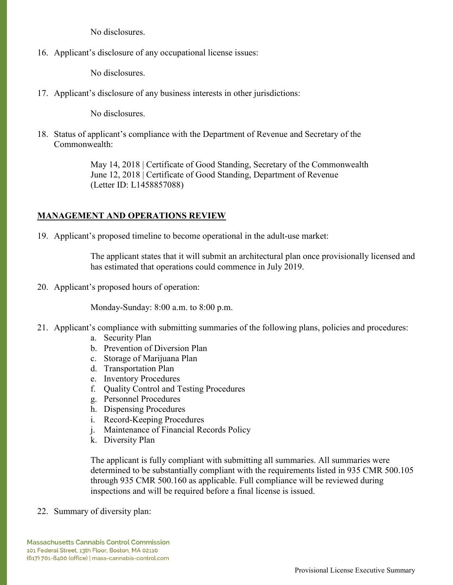No disclosures.

16. Applicant's disclosure of any occupational license issues:

No disclosures.

17. Applicant's disclosure of any business interests in other jurisdictions:

No disclosures.

18. Status of applicant's compliance with the Department of Revenue and Secretary of the Commonwealth:

> May 14, 2018 | Certificate of Good Standing, Secretary of the Commonwealth June 12, 2018 | Certificate of Good Standing, Department of Revenue (Letter ID: L1458857088)

### **MANAGEMENT AND OPERATIONS REVIEW**

19. Applicant's proposed timeline to become operational in the adult-use market:

The applicant states that it will submit an architectural plan once provisionally licensed and has estimated that operations could commence in July 2019.

20. Applicant's proposed hours of operation:

Monday-Sunday: 8:00 a.m. to 8:00 p.m.

- 21. Applicant's compliance with submitting summaries of the following plans, policies and procedures:
	- a. Security Plan
	- b. Prevention of Diversion Plan
	- c. Storage of Marijuana Plan
	- d. Transportation Plan
	- e. Inventory Procedures
	- f. Quality Control and Testing Procedures
	- g. Personnel Procedures
	- h. Dispensing Procedures
	- i. Record-Keeping Procedures
	- j. Maintenance of Financial Records Policy
	- k. Diversity Plan

The applicant is fully compliant with submitting all summaries. All summaries were determined to be substantially compliant with the requirements listed in 935 CMR 500.105 through 935 CMR 500.160 as applicable. Full compliance will be reviewed during inspections and will be required before a final license is issued.

22. Summary of diversity plan: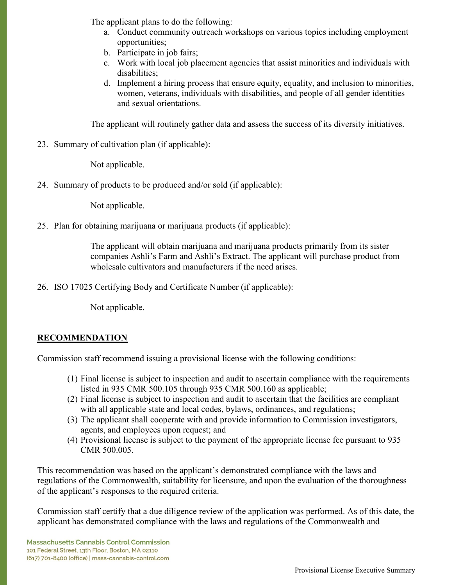The applicant plans to do the following:

- a. Conduct community outreach workshops on various topics including employment opportunities;
- b. Participate in job fairs;
- c. Work with local job placement agencies that assist minorities and individuals with disabilities;
- d. Implement a hiring process that ensure equity, equality, and inclusion to minorities, women, veterans, individuals with disabilities, and people of all gender identities and sexual orientations.

The applicant will routinely gather data and assess the success of its diversity initiatives.

23. Summary of cultivation plan (if applicable):

Not applicable.

24. Summary of products to be produced and/or sold (if applicable):

Not applicable.

25. Plan for obtaining marijuana or marijuana products (if applicable):

The applicant will obtain marijuana and marijuana products primarily from its sister companies Ashli's Farm and Ashli's Extract. The applicant will purchase product from wholesale cultivators and manufacturers if the need arises.

26. ISO 17025 Certifying Body and Certificate Number (if applicable):

Not applicable.

# **RECOMMENDATION**

Commission staff recommend issuing a provisional license with the following conditions:

- (1) Final license is subject to inspection and audit to ascertain compliance with the requirements listed in 935 CMR 500.105 through 935 CMR 500.160 as applicable;
- (2) Final license is subject to inspection and audit to ascertain that the facilities are compliant with all applicable state and local codes, bylaws, ordinances, and regulations;
- (3) The applicant shall cooperate with and provide information to Commission investigators, agents, and employees upon request; and
- (4) Provisional license is subject to the payment of the appropriate license fee pursuant to 935 CMR 500.005.

This recommendation was based on the applicant's demonstrated compliance with the laws and regulations of the Commonwealth, suitability for licensure, and upon the evaluation of the thoroughness of the applicant's responses to the required criteria.

Commission staff certify that a due diligence review of the application was performed. As of this date, the applicant has demonstrated compliance with the laws and regulations of the Commonwealth and